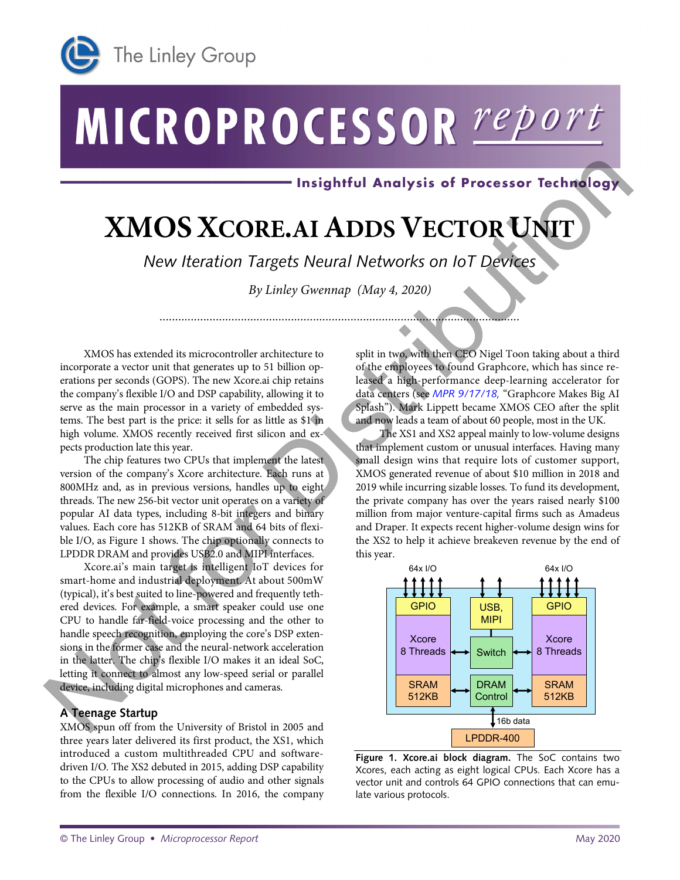

# MICROPROCESSOR report

# **XMOSXCORE.AI ADDS VECTOR UNIT**

*New Iteration Targets Neural Networks on IoT Devices*

*By Linley Gwennap (May 4, 2020)* 

*...................................................................................................................*

XMOS has extended its microcontroller architecture to incorporate a vector unit that generates up to 51 billion operations per seconds (GOPS). The new Xcore.ai chip retains the company's flexible I/O and DSP capability, allowing it to serve as the main processor in a variety of embedded systems. The best part is the price: it sells for as little as \$1 in high volume. XMOS recently received first silicon and expects production late this year.

The chip features two CPUs that implement the latest version of the company's Xcore architecture. Each runs at 800MHz and, as in previous versions, handles up to eight threads. The new 256-bit vector unit operates on a variety of popular AI data types, including 8-bit integers and binary values. Each core has 512KB of SRAM and 64 bits of flexible I/O, as Figure 1 shows. The chip optionally connects to LPDDR DRAM and provides USB2.0 and MIPI interfaces.

Xcore.ai's main target is intelligent IoT devices for smart-home and industrial deployment. At about 500mW (typical), it's best suited to line-powered and frequently tethered devices. For example, a smart speaker could use one CPU to handle far-field-voice processing and the other to handle speech recognition, employing the core's DSP extensions in the former case and the neural-network acceleration in the latter. The chip's flexible I/O makes it an ideal SoC, letting it connect to almost any low-speed serial or parallel device, including digital microphones and cameras.

# **A Teenage Startup**

XMOS spun off from the University of Bristol in 2005 and three years later delivered its first product, the XS1, which introduced a custom multithreaded CPU and softwaredriven I/O. The XS2 debuted in 2015, adding DSP capability to the CPUs to allow processing of audio and other signals from the flexible I/O connections. In 2016, the company

Ī

split in two, with then CEO Nigel Toon taking about a third of the employees to found Graphcore, which has since released a high-performance deep-learning accelerator for data centers (see *MPR 9/17/18,* "Graphcore Makes Big AI Splash"). Mark Lippett became XMOS CEO after the split and now leads a team of about 60 people, most in the UK.

The XS1 and XS2 appeal mainly to low-volume designs that implement custom or unusual interfaces. Having many small design wins that require lots of customer support, XMOS generated revenue of about \$10 million in 2018 and 2019 while incurring sizable losses. To fund its development, the private company has over the years raised nearly \$100 million from major venture-capital firms such as Amadeus and Draper. It expects recent higher-volume design wins for the XS2 to help it achieve breakeven revenue by the end of this year.



**Figure 1. Xcore.ai block diagram.** The SoC contains two Xcores, each acting as eight logical CPUs. Each Xcore has a vector unit and controls 64 GPIO connections that can emulate various protocols.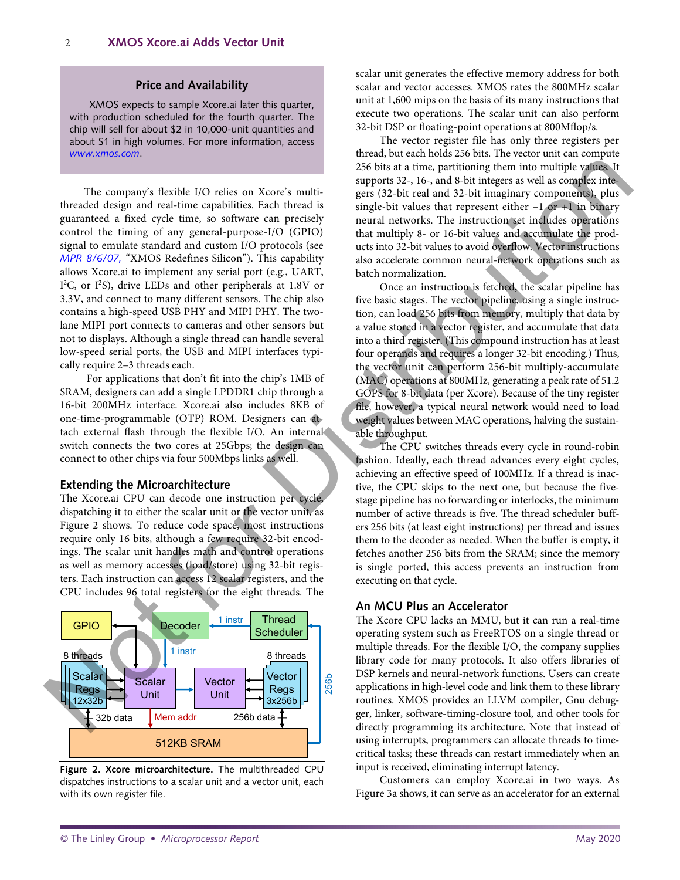# **Price and Availability**

XMOS expects to sample Xcore.ai later this quarter, with production scheduled for the fourth quarter. The chip will sell for about \$2 in 10,000-unit quantities and about \$1 in high volumes. For more information, access *www.xmos.com*.

The company's flexible I/O relies on Xcore's multithreaded design and real-time capabilities. Each thread is guaranteed a fixed cycle time, so software can precisely control the timing of any general-purpose-I/O (GPIO) signal to emulate standard and custom I/O protocols (see *MPR 8/6/07,* "XMOS Redefines Silicon"). This capability allows Xcore.ai to implement any serial port (e.g., UART, I<sup>2</sup>C, or I<sup>2</sup>S), drive LEDs and other peripherals at 1.8V or 3.3V, and connect to many different sensors. The chip also contains a high-speed USB PHY and MIPI PHY. The twolane MIPI port connects to cameras and other sensors but not to displays. Although a single thread can handle several low-speed serial ports, the USB and MIPI interfaces typically require 2–3 threads each. The company's Radik HO relies on Xore's mail as provides and as provides and as higher standard design and rest-line of Debt in the angle is the main of the standard design and rest-line consider the standard in the stand

For applications that don't fit into the chip's 1MB of SRAM, designers can add a single LPDDR1 chip through a 16-bit 200MHz interface. Xcore.ai also includes 8KB of one-time-programmable (OTP) ROM. Designers can attach external flash through the flexible I/O. An internal switch connects the two cores at 25Gbps; the design can connect to other chips via four 500Mbps links as well.

#### **Extending the Microarchitecture**

The Xcore.ai CPU can decode one instruction per cycle, dispatching it to either the scalar unit or the vector unit, as Figure 2 shows. To reduce code space, most instructions require only 16 bits, although a few require 32-bit encodings. The scalar unit handles math and control operations as well as memory accesses (load/store) using 32-bit registers. Each instruction can access 12 scalar registers, and the CPU includes 96 total registers for the eight threads. The



**Figure 2. Xcore microarchitecture.** The multithreaded CPU dispatches instructions to a scalar unit and a vector unit, each with its own register file.

scalar unit generates the effective memory address for both scalar and vector accesses. XMOS rates the 800MHz scalar unit at 1,600 mips on the basis of its many instructions that execute two operations. The scalar unit can also perform 32-bit DSP or floating-point operations at 800Mflop/s.

The vector register file has only three registers per thread, but each holds 256 bits. The vector unit can compute 256 bits at a time, partitioning them into multiple values. It supports 32-, 16-, and 8-bit integers as well as complex integers (32-bit real and 32-bit imaginary components), plus single-bit values that represent either  $-1$  or  $+1$  in binary neural networks. The instruction set includes operations that multiply 8- or 16-bit values and accumulate the products into 32-bit values to avoid overflow. Vector instructions also accelerate common neural-network operations such as batch normalization.

Once an instruction is fetched, the scalar pipeline has five basic stages. The vector pipeline, using a single instruction, can load 256 bits from memory, multiply that data by a value stored in a vector register, and accumulate that data into a third register. (This compound instruction has at least four operands and requires a longer 32-bit encoding.) Thus, the vector unit can perform 256-bit multiply-accumulate (MAC) operations at 800MHz, generating a peak rate of 51.2 GOPS for 8-bit data (per Xcore). Because of the tiny register file, however, a typical neural network would need to load weight values between MAC operations, halving the sustainable throughput.

The CPU switches threads every cycle in round-robin fashion. Ideally, each thread advances every eight cycles, achieving an effective speed of 100MHz. If a thread is inactive, the CPU skips to the next one, but because the fivestage pipeline has no forwarding or interlocks, the minimum number of active threads is five. The thread scheduler buffers 256 bits (at least eight instructions) per thread and issues them to the decoder as needed. When the buffer is empty, it fetches another 256 bits from the SRAM; since the memory is single ported, this access prevents an instruction from executing on that cycle.

# **An MCU Plus an Accelerator**

The Xcore CPU lacks an MMU, but it can run a real-time operating system such as FreeRTOS on a single thread or multiple threads. For the flexible I/O, the company supplies library code for many protocols. It also offers libraries of DSP kernels and neural-network functions. Users can create applications in high-level code and link them to these library routines. XMOS provides an LLVM compiler, Gnu debugger, linker, software-timing-closure tool, and other tools for directly programming its architecture. Note that instead of using interrupts, programmers can allocate threads to timecritical tasks; these threads can restart immediately when an input is received, eliminating interrupt latency.

Customers can employ Xcore.ai in two ways. As Figure 3a shows, it can serve as an accelerator for an external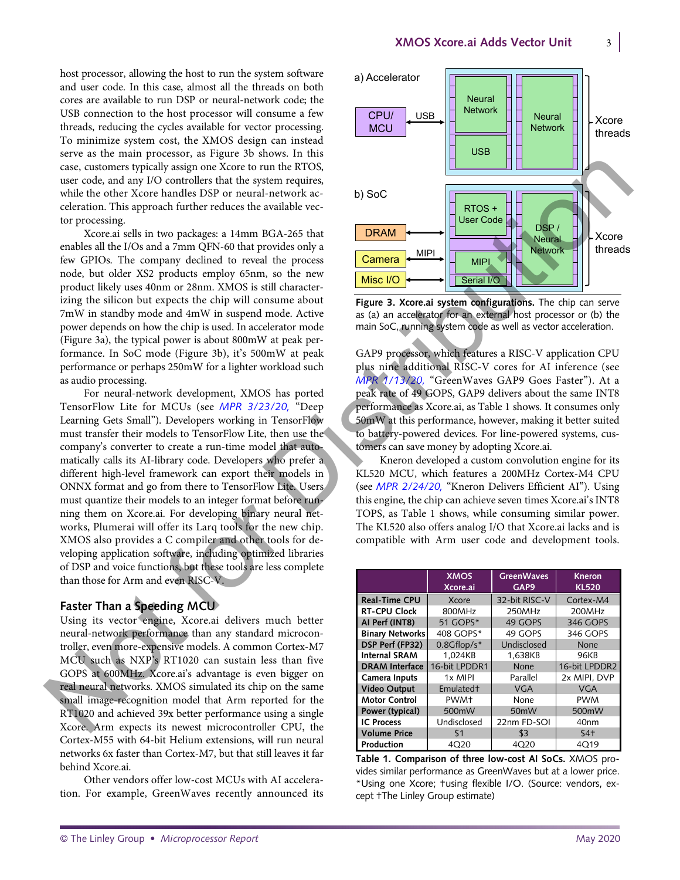host processor, allowing the host to run the system software and user code. In this case, almost all the threads on both cores are available to run DSP or neural-network code; the USB connection to the host processor will consume a few threads, reducing the cycles available for vector processing. To minimize system cost, the XMOS design can instead serve as the main processor, as Figure 3b shows. In this case, customers typically assign one Xcore to run the RTOS, user code, and any I/O controllers that the system requires, while the other Xcore handles DSP or neural-network acceleration. This approach further reduces the available vector processing.

Xcore.ai sells in two packages: a 14mm BGA-265 that enables all the I/Os and a 7mm QFN-60 that provides only a few GPIOs. The company declined to reveal the process node, but older XS2 products employ 65nm, so the new product likely uses 40nm or 28nm. XMOS is still characterizing the silicon but expects the chip will consume about 7mW in standby mode and 4mW in suspend mode. Active power depends on how the chip is used. In accelerator mode (Figure 3a), the typical power is about 800mW at peak performance. In SoC mode (Figure 3b), it's 500mW at peak performance or perhaps 250mW for a lighter workload such as audio processing.

For neural-network development, XMOS has ported TensorFlow Lite for MCUs (see *MPR 3/23/20,* "Deep Learning Gets Small"). Developers working in TensorFlow must transfer their models to TensorFlow Lite, then use the company's converter to create a run-time model that automatically calls its AI-library code. Developers who prefer a different high-level framework can export their models in ONNX format and go from there to TensorFlow Lite. Users must quantize their models to an integer format before running them on Xcore.ai. For developing binary neural networks, Plumerai will offer its Larq tools for the new chip. XMOS also provides a C compiler and other tools for developing application software, including optimized libraries of DSP and voice functions, but these tools are less complete than those for Arm and even RISC-V. Let us consider the specific scale of the constrained in the specific scale of the specific scale of the specific scale of the specific scale of the specific scale of the specific scale of the specific scale of the specif

# **Faster Than a Speeding MCU**

Using its vector engine, Xcore.ai delivers much better neural-network performance than any standard microcontroller, even more-expensive models. A common Cortex-M7 MCU such as NXP's RT1020 can sustain less than five GOPS at 600MHz. Xcore.ai's advantage is even bigger on real neural networks. XMOS simulated its chip on the same small image-recognition model that Arm reported for the RT1020 and achieved 39x better performance using a single Xcore. Arm expects its newest microcontroller CPU, the Cortex-M55 with 64-bit Helium extensions, will run neural networks 6x faster than Cortex-M7, but that still leaves it far behind Xcore.ai.

Other vendors offer low-cost MCUs with AI acceleration. For example, GreenWaves recently announced its



**Figure 3. Xcore.ai system configurations.** The chip can serve as (a) an accelerator for an external host processor or (b) the main SoC, running system code as well as vector acceleration.

GAP9 processor, which features a RISC-V application CPU plus nine additional RISC-V cores for AI inference (see *MPR 1/13/20,* "GreenWaves GAP9 Goes Faster"). At a peak rate of 49 GOPS, GAP9 delivers about the same INT8 performance as Xcore.ai, as Table 1 shows. It consumes only 50mW at this performance, however, making it better suited to battery-powered devices. For line-powered systems, customers can save money by adopting Xcore.ai.

Kneron developed a custom convolution engine for its KL520 MCU, which features a 200MHz Cortex-M4 CPU (see *MPR 2/24/20,* "Kneron Delivers Efficient AI"). Using this engine, the chip can achieve seven times Xcore.ai's INT8 TOPS, as Table 1 shows, while consuming similar power. The KL520 also offers analog I/O that Xcore.ai lacks and is compatible with Arm user code and development tools.

|                        | <b>XMOS</b><br>Xcore.ai | <b>GreenWaves</b><br>GAP <sub>9</sub> | Kneron<br><b>KL520</b> |
|------------------------|-------------------------|---------------------------------------|------------------------|
| <b>Real-Time CPU</b>   | Xcore                   | 32-bit RISC-V                         | Cortex-M4              |
| <b>RT-CPU Clock</b>    | 800MHz                  | 250MHz                                | 200MHz                 |
| AI Perf (INT8)         | 51 GOPS*                | 49 GOPS                               | 346 GOPS               |
| <b>Binary Networks</b> | 408 GOPS*               | 49 GOPS                               | 346 GOPS               |
| DSP Perf (FP32)        | $0.8$ Gflop/s $*$       | Undisclosed                           | <b>None</b>            |
| <b>Internal SRAM</b>   | 1,024KB                 | 1,638KB                               | <b>96KB</b>            |
| <b>DRAM</b> Interface  | 16-bit LPDDR1           | None                                  | 16-bit LPDDR2          |
| Camera Inputs          | 1x MIPI                 | Parallel                              | 2x MIPI. DVP           |
| <b>Video Output</b>    | Emulated <sup>+</sup>   | <b>VGA</b>                            | <b>VGA</b>             |
| <b>Motor Control</b>   | PWM <sup>+</sup>        | None                                  | <b>PWM</b>             |
| Power (typical)        | 500mW                   | 50 <sub>m</sub> W                     | 500mW                  |
| <b>IC Process</b>      | Undisclosed             | 22nm FD-SOI                           | 40nm                   |
| <b>Volume Price</b>    | \$1                     | \$3                                   | $$4+$                  |
| Production             | 4020                    | 4020                                  | 4Q19                   |

**Table 1. Comparison of three low-cost AI SoCs.** XMOS provides similar performance as GreenWaves but at a lower price. \*Using one Xcore; †using flexible I/O. (Source: vendors, except †The Linley Group estimate)